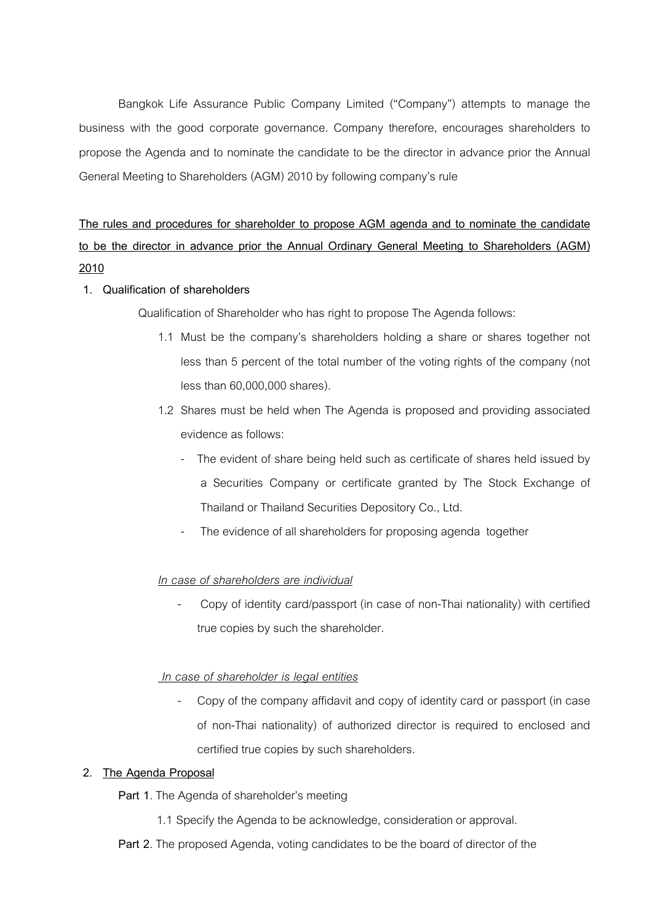Bangkok Life Assurance Public Company Limited ("Company") attempts to manage the business with the good corporate governance. Company therefore, encourages shareholders to propose the Agenda and to nominate the candidate to be the director in advance prior the Annual General Meeting to Shareholders (AGM) 2010 by following company's rule

The rules and procedures for shareholder to propose AGM agenda and to nominate the candidate to be the director in advance prior the Annual Ordinary General Meeting to Shareholders (AGM) 2010

## 1. Qualification of shareholders

Qualification of Shareholder who has right to propose The Agenda follows:

- 1.1 Must be the company's shareholders holding a share or shares together not less than 5 percent of the total number of the voting rights of the company (not less than 60,000,000 shares).
- 1.2 Shares must be held when The Agenda is proposed and providing associated evidence as follows:
	- The evident of share being held such as certificate of shares held issued by a Securities Company or certificate granted by The Stock Exchange of Thailand or Thailand Securities Depository Co., Ltd.
	- The evidence of all shareholders for proposing agenda together

### In case of shareholders are individual

- Copy of identity card/passport (in case of non-Thai nationality) with certified true copies by such the shareholder.

# In case of shareholder is legal entities

- Copy of the company affidavit and copy of identity card or passport (in case of non-Thai nationality) of authorized director is required to enclosed and certified true copies by such shareholders.

### 2. The Agenda Proposal

Part 1. The Agenda of shareholder's meeting

- 1.1 Specify the Agenda to be acknowledge, consideration or approval.
- Part 2. The proposed Agenda, voting candidates to be the board of director of the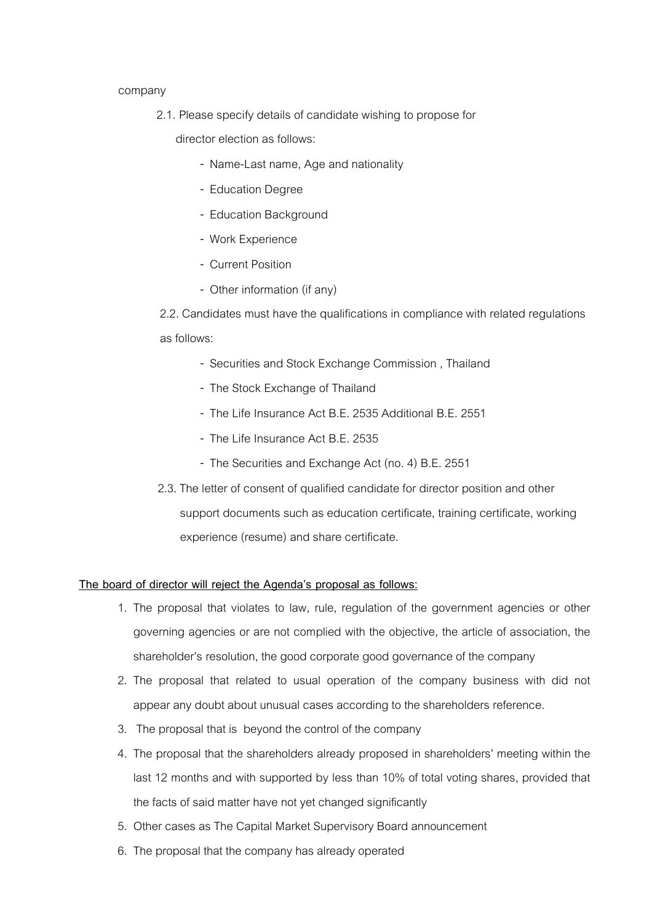#### company

2.1. Please specify details of candidate wishing to propose for

director election as follows:

- Name-Last name, Age and nationality
- Education Degree
- Education Background
- Work Experience
- Current Position
- Other information (if any)

2.2. Candidates must have the qualifications in compliance with related regulations as follows:

- Securities and Stock Exchange Commission , Thailand
- The Stock Exchange of Thailand
- The Life Insurance Act B.E. 2535 Additional B.E. 2551
- The Life Insurance Act B.E. 2535
- The Securities and Exchange Act (no. 4) B.E. 2551
- 2.3. The letter of consent of qualified candidate for director position and other support documents such as education certificate, training certificate, working experience (resume) and share certificate.

### The board of director will reject the Agenda's proposal as follows:

- 1. The proposal that violates to law, rule, regulation of the government agencies or other governing agencies or are not complied with the objective, the article of association, the shareholder's resolution, the good corporate good governance of the company
- 2. The proposal that related to usual operation of the company business with did not appear any doubt about unusual cases according to the shareholders reference.
- 3. The proposal that is beyond the control of the company
- 4. The proposal that the shareholders already proposed in shareholders) meeting within the last 12 months and with supported by less than 10% of total voting shares, provided that the facts of said matter have not yet changed significantly
- 5. Other cases as The Capital Market Supervisory Board announcement
- 6. The proposal that the company has already operated